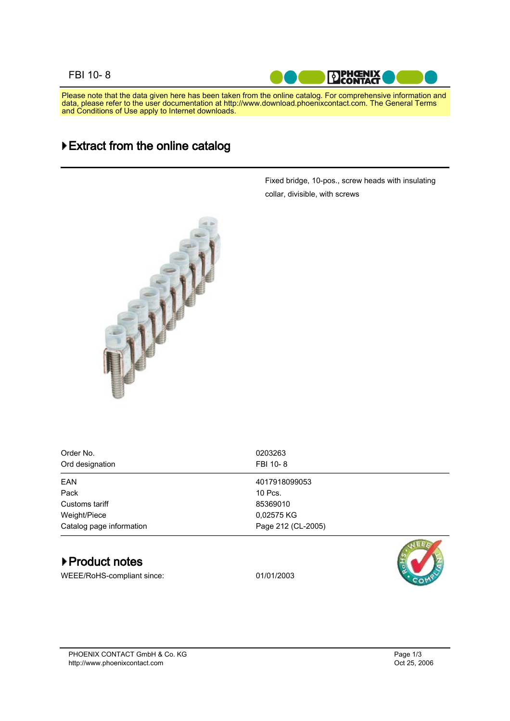## FBI 10- 8



Please note that the data given here has been taken from the online catalog. For comprehensive information and data, please refer to the user documentation at http://www.download.phoenixcontact.com. The General Terms and Conditions of Use apply to Internet downloads.

## Extract from the online catalog



Fixed bridge, 10-pos., screw heads with insulating collar, divisible, with screws

| Order No.<br>Ord designation | 0203263<br>FBI 10-8 |
|------------------------------|---------------------|
| <b>EAN</b>                   | 4017918099053       |
| Pack                         | 10 Pcs.             |
| Customs tariff               | 85369010            |
| Weight/Piece                 | 0,02575 KG          |
| Catalog page information     | Page 212 (CL-2005)  |

## ▶ Product notes

WEEE/RoHS-compliant since: 01/01/2003



PHOENIX CONTACT GmbH & Co. KG http://www.phoenixcontact.com Oct 25, 2006

Page 1/ 3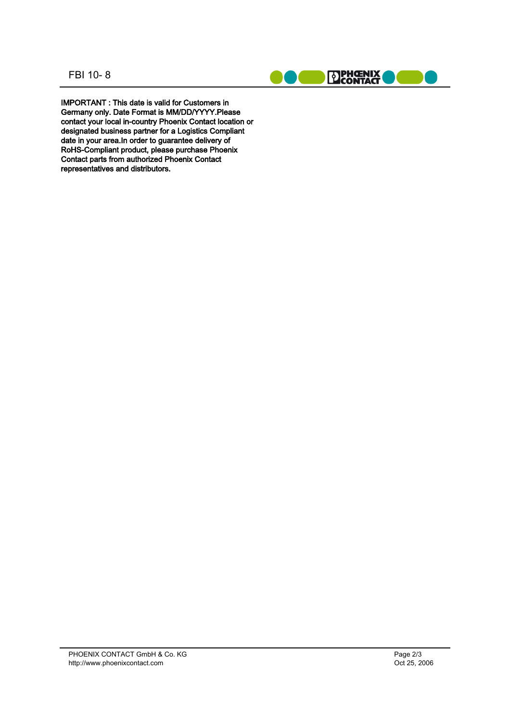FBI 10- 8



IMPORTANT : This date is valid for Customers in Germany only. Date Format is MM/DD/YYYY.Please contact your local in-country Phoenix Contact location or designated business partner for a Logistics Compliant date in your area.In order to guarantee delivery of RoHS-Compliant product, please purchase Phoenix Contact parts from authorized Phoenix Contact representatives and distributors.